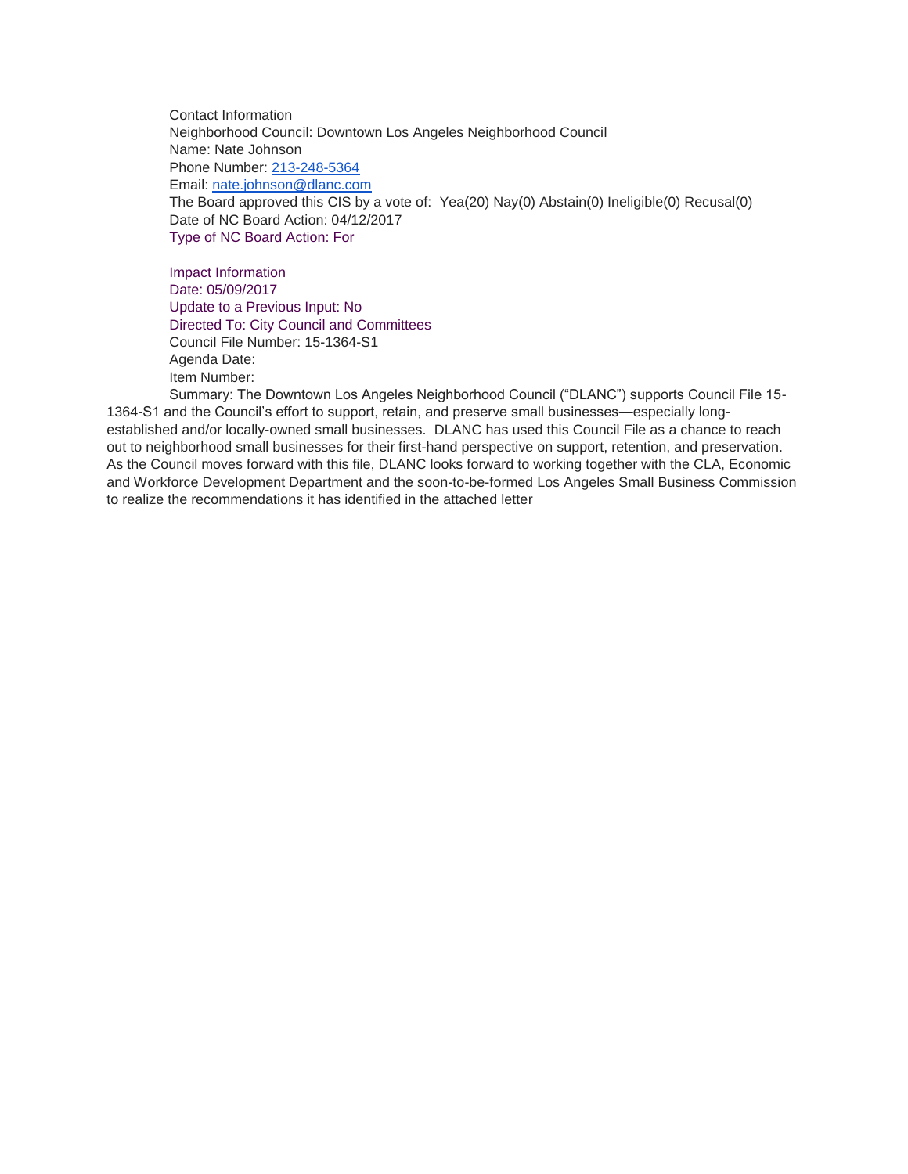Contact Information Neighborhood Council: Downtown Los Angeles Neighborhood Council Name: Nate Johnson Phone Number: [213-248-5364](tel:213-248-5364) Email: [nate.johnson@dlanc.com](mailto:nate.johnson@dlanc.com) The Board approved this CIS by a vote of: Yea(20) Nay(0) Abstain(0) Ineligible(0) Recusal(0) Date of NC Board Action: 04/12/2017 Type of NC Board Action: For

Impact Information Date: 05/09/2017 Update to a Previous Input: No Directed To: City Council and Committees Council File Number: 15-1364-S1 Agenda Date: Item Number:

Summary: The Downtown Los Angeles Neighborhood Council ("DLANC") supports Council File 15- 1364-S1 and the Council's effort to support, retain, and preserve small businesses—especially longestablished and/or locally-owned small businesses. DLANC has used this Council File as a chance to reach out to neighborhood small businesses for their first-hand perspective on support, retention, and preservation. As the Council moves forward with this file, DLANC looks forward to working together with the CLA, Economic and Workforce Development Department and the soon-to-be-formed Los Angeles Small Business Commission to realize the recommendations it has identified in the attached letter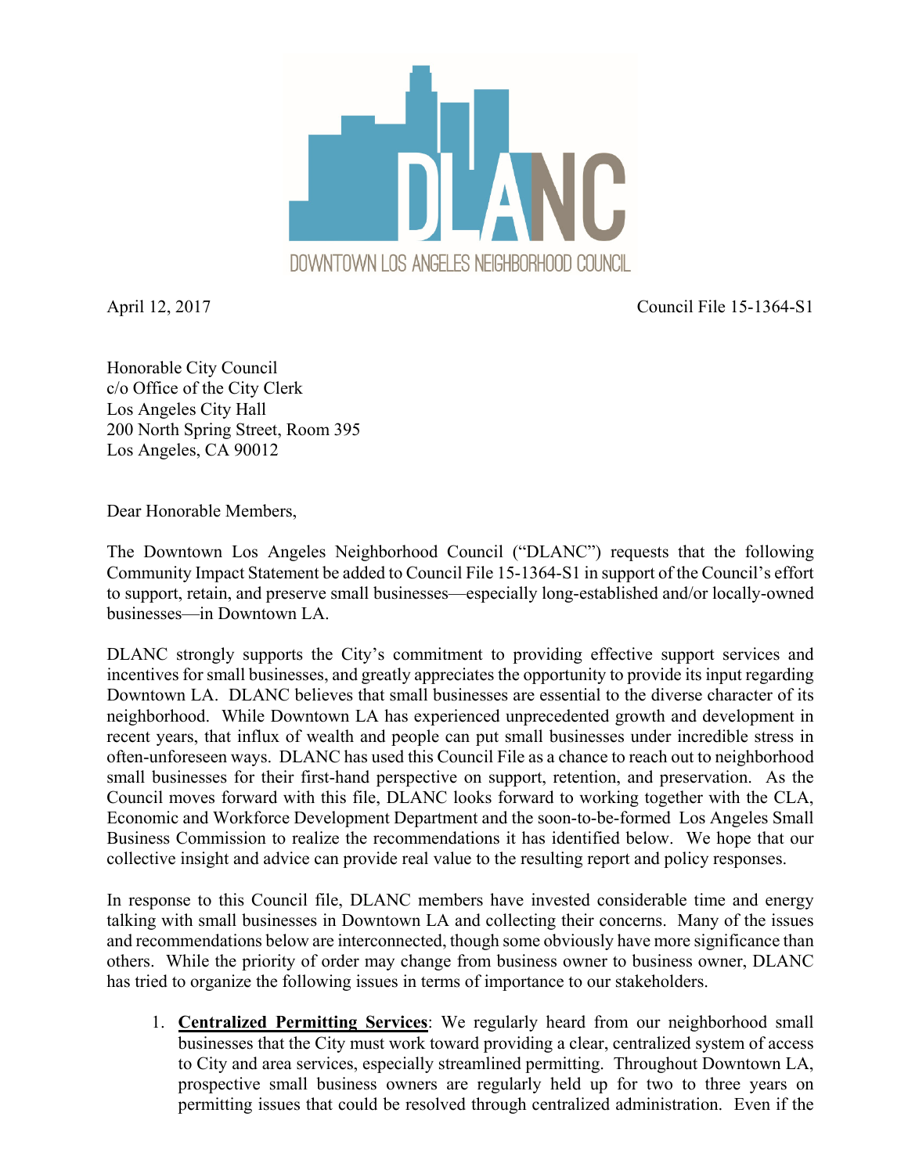

April 12, 2017 Council File 15-1364-S1

Honorable City Council c/o Office of the City Clerk Los Angeles City Hall 200 North Spring Street, Room 395 Los Angeles, CA 90012

Dear Honorable Members,

The Downtown Los Angeles Neighborhood Council ("DLANC") requests that the following Community Impact Statement be added to Council File 15-1364-S1 in support of the Council's effort to support, retain, and preserve small businesses—especially long-established and/or locally-owned businesses—in Downtown LA.

DLANC strongly supports the City's commitment to providing effective support services and incentives for small businesses, and greatly appreciates the opportunity to provide its input regarding Downtown LA. DLANC believes that small businesses are essential to the diverse character of its neighborhood. While Downtown LA has experienced unprecedented growth and development in recent years, that influx of wealth and people can put small businesses under incredible stress in often-unforeseen ways. DLANC has used this Council File as a chance to reach out to neighborhood small businesses for their first-hand perspective on support, retention, and preservation. As the Council moves forward with this file, DLANC looks forward to working together with the CLA, Economic and Workforce Development Department and the soon-to-be-formed Los Angeles Small Business Commission to realize the recommendations it has identified below. We hope that our collective insight and advice can provide real value to the resulting report and policy responses.

In response to this Council file, DLANC members have invested considerable time and energy talking with small businesses in Downtown LA and collecting their concerns. Many of the issues and recommendations below are interconnected, though some obviously have more significance than others. While the priority of order may change from business owner to business owner, DLANC has tried to organize the following issues in terms of importance to our stakeholders.

1. **Centralized Permitting Services**: We regularly heard from our neighborhood small businesses that the City must work toward providing a clear, centralized system of access to City and area services, especially streamlined permitting. Throughout Downtown LA, prospective small business owners are regularly held up for two to three years on permitting issues that could be resolved through centralized administration. Even if the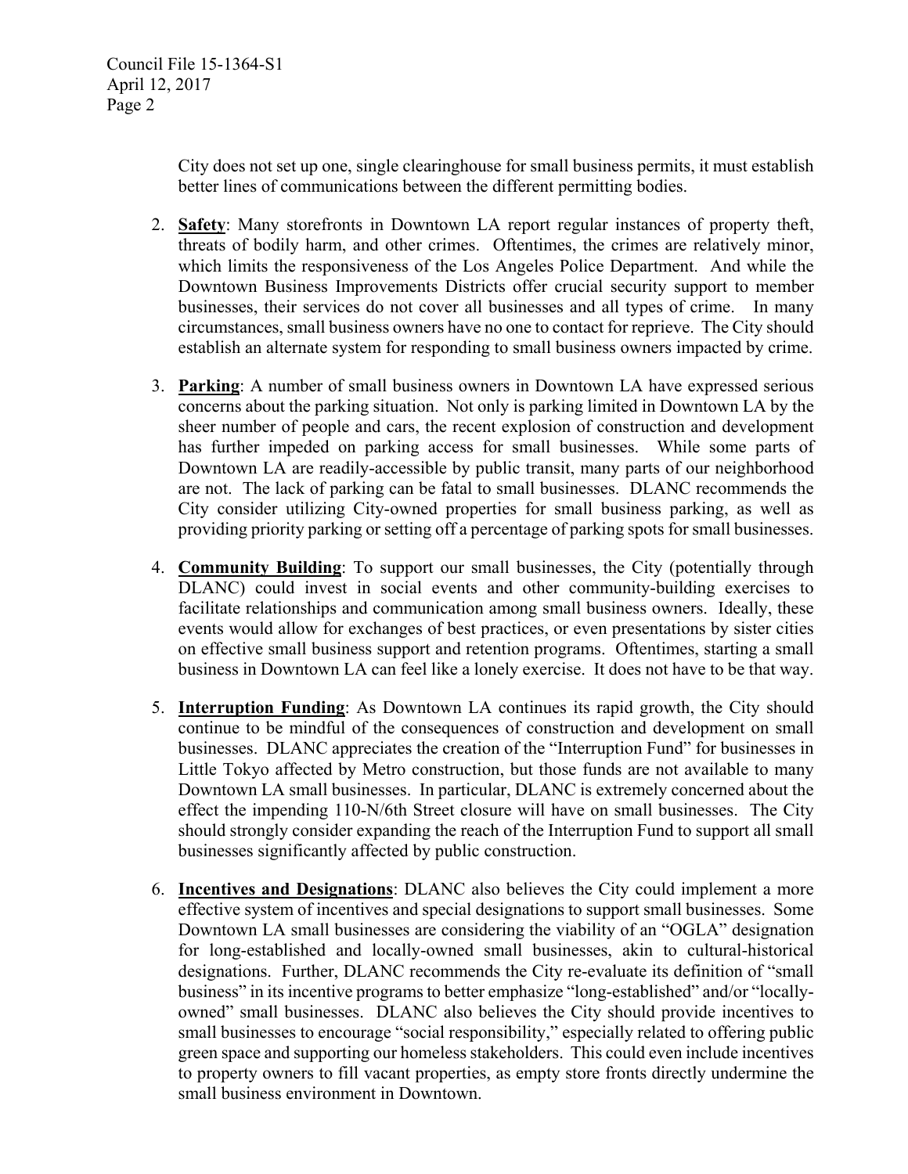City does not set up one, single clearinghouse for small business permits, it must establish better lines of communications between the different permitting bodies.

- 2. **Safety**: Many storefronts in Downtown LA report regular instances of property theft, threats of bodily harm, and other crimes. Oftentimes, the crimes are relatively minor, which limits the responsiveness of the Los Angeles Police Department. And while the Downtown Business Improvements Districts offer crucial security support to member businesses, their services do not cover all businesses and all types of crime. In many circumstances, small business owners have no one to contact for reprieve. The City should establish an alternate system for responding to small business owners impacted by crime.
- 3. **Parking**: A number of small business owners in Downtown LA have expressed serious concerns about the parking situation. Not only is parking limited in Downtown LA by the sheer number of people and cars, the recent explosion of construction and development has further impeded on parking access for small businesses. While some parts of Downtown LA are readily-accessible by public transit, many parts of our neighborhood are not. The lack of parking can be fatal to small businesses. DLANC recommends the City consider utilizing City-owned properties for small business parking, as well as providing priority parking or setting off a percentage of parking spots for small businesses.
- 4. **Community Building**: To support our small businesses, the City (potentially through DLANC) could invest in social events and other community-building exercises to facilitate relationships and communication among small business owners. Ideally, these events would allow for exchanges of best practices, or even presentations by sister cities on effective small business support and retention programs. Oftentimes, starting a small business in Downtown LA can feel like a lonely exercise. It does not have to be that way.
- 5. **Interruption Funding**: As Downtown LA continues its rapid growth, the City should continue to be mindful of the consequences of construction and development on small businesses. DLANC appreciates the creation of the "Interruption Fund" for businesses in Little Tokyo affected by Metro construction, but those funds are not available to many Downtown LA small businesses. In particular, DLANC is extremely concerned about the effect the impending 110-N/6th Street closure will have on small businesses. The City should strongly consider expanding the reach of the Interruption Fund to support all small businesses significantly affected by public construction.
- 6. **Incentives and Designations**: DLANC also believes the City could implement a more effective system of incentives and special designations to support small businesses. Some Downtown LA small businesses are considering the viability of an "OGLA" designation for long-established and locally-owned small businesses, akin to cultural-historical designations. Further, DLANC recommends the City re-evaluate its definition of "small business" in its incentive programs to better emphasize "long-established" and/or "locallyowned" small businesses. DLANC also believes the City should provide incentives to small businesses to encourage "social responsibility," especially related to offering public green space and supporting our homeless stakeholders. This could even include incentives to property owners to fill vacant properties, as empty store fronts directly undermine the small business environment in Downtown.